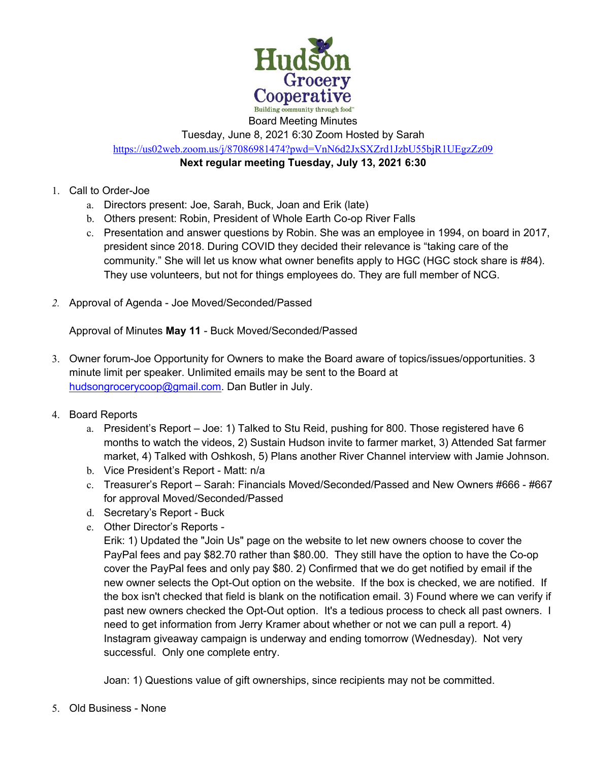

Tuesday, June 8, 2021 6:30 Zoom Hosted by Sarah https://us02web.zoom.us/j/87086981474?pwd=VnN6d2JxSXZrd1JzbU55bjR1UEgzZz09

**Next regular meeting Tuesday, July 13, 2021 6:30** 

## 1. Call to Order-Joe

- a. Directors present: Joe, Sarah, Buck, Joan and Erik (late)
- b. Others present: Robin, President of Whole Earth Co-op River Falls
- c. Presentation and answer questions by Robin. She was an employee in 1994, on board in 2017, president since 2018. During COVID they decided their relevance is "taking care of the community." She will let us know what owner benefits apply to HGC (HGC stock share is #84). They use volunteers, but not for things employees do. They are full member of NCG.
- *2.* Approval of Agenda Joe Moved/Seconded/Passed

Approval of Minutes **May 11** - Buck Moved/Seconded/Passed

- 3. Owner forum-Joe Opportunity for Owners to make the Board aware of topics/issues/opportunities. 3 minute limit per speaker. Unlimited emails may be sent to the Board at hudsongrocerycoop@gmail.com. Dan Butler in July.
- 4. Board Reports
	- a. President's Report Joe: 1) Talked to Stu Reid, pushing for 800. Those registered have 6 months to watch the videos, 2) Sustain Hudson invite to farmer market, 3) Attended Sat farmer market, 4) Talked with Oshkosh, 5) Plans another River Channel interview with Jamie Johnson.
	- b. Vice President's Report Matt: n/a
	- c. Treasurer's Report Sarah: Financials Moved/Seconded/Passed and New Owners #666 #667 for approval Moved/Seconded/Passed
	- d. Secretary's Report Buck
	- e. Other Director's Reports -

Erik: 1) Updated the "Join Us" page on the website to let new owners choose to cover the PayPal fees and pay \$82.70 rather than \$80.00. They still have the option to have the Co-op cover the PayPal fees and only pay \$80. 2) Confirmed that we do get notified by email if the new owner selects the Opt-Out option on the website. If the box is checked, we are notified. If the box isn't checked that field is blank on the notification email. 3) Found where we can verify if past new owners checked the Opt-Out option. It's a tedious process to check all past owners. I need to get information from Jerry Kramer about whether or not we can pull a report. 4) Instagram giveaway campaign is underway and ending tomorrow (Wednesday). Not very successful. Only one complete entry.

Joan: 1) Questions value of gift ownerships, since recipients may not be committed.